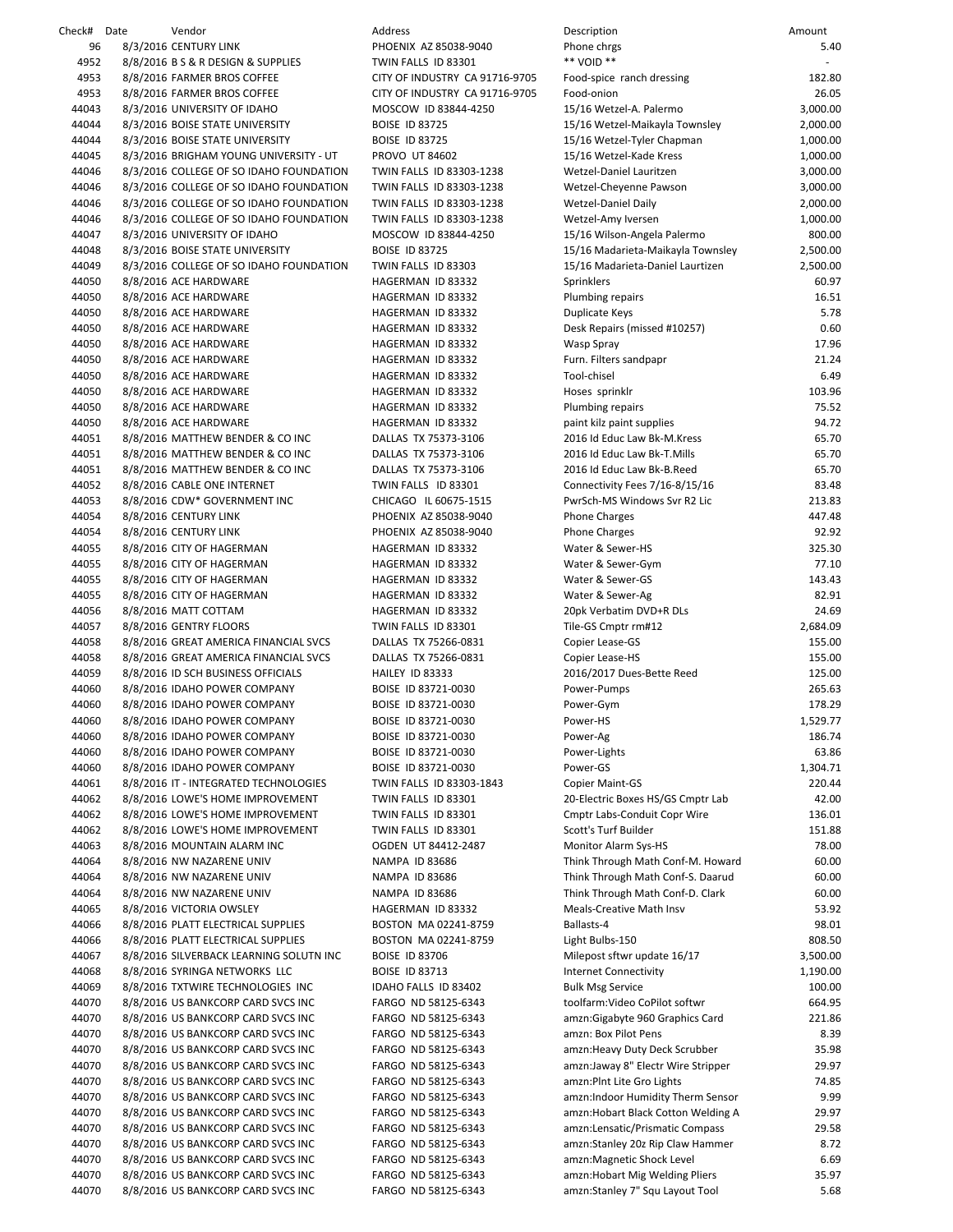| Check# Date | Vendor                                  | Address                        | Description                         | Amount   |
|-------------|-----------------------------------------|--------------------------------|-------------------------------------|----------|
| 96          | 8/3/2016 CENTURY LINK                   | PHOENIX AZ 85038-9040          | Phone chrgs                         | 5.40     |
| 4952        | 8/8/2016 B S & R DESIGN & SUPPLIES      | TWIN FALLS ID 83301            | ** VOID **                          |          |
| 4953        | 8/8/2016 FARMER BROS COFFEE             | CITY OF INDUSTRY CA 91716-9705 | Food-spice ranch dressing           | 182.80   |
| 4953        | 8/8/2016 FARMER BROS COFFEE             | CITY OF INDUSTRY CA 91716-9705 | Food-onion                          | 26.05    |
| 44043       | 8/3/2016 UNIVERSITY OF IDAHO            | MOSCOW ID 83844-4250           | 15/16 Wetzel-A. Palermo             | 3,000.00 |
| 44044       | 8/3/2016 BOISE STATE UNIVERSITY         | <b>BOISE ID 83725</b>          | 15/16 Wetzel-Maikayla Townsley      | 2,000.00 |
| 44044       | 8/3/2016 BOISE STATE UNIVERSITY         | <b>BOISE ID 83725</b>          | 15/16 Wetzel-Tyler Chapman          | 1,000.00 |
| 44045       | 8/3/2016 BRIGHAM YOUNG UNIVERSITY - UT  | <b>PROVO UT 84602</b>          | 15/16 Wetzel-Kade Kress             | 1,000.00 |
| 44046       | 8/3/2016 COLLEGE OF SO IDAHO FOUNDATION | TWIN FALLS ID 83303-1238       | Wetzel-Daniel Lauritzen             | 3,000.00 |
| 44046       | 8/3/2016 COLLEGE OF SO IDAHO FOUNDATION | TWIN FALLS ID 83303-1238       | Wetzel-Cheyenne Pawson              | 3,000.00 |
| 44046       | 8/3/2016 COLLEGE OF SO IDAHO FOUNDATION | TWIN FALLS ID 83303-1238       | <b>Wetzel-Daniel Daily</b>          | 2,000.00 |
| 44046       | 8/3/2016 COLLEGE OF SO IDAHO FOUNDATION | TWIN FALLS ID 83303-1238       | Wetzel-Amy Iversen                  | 1,000.00 |
| 44047       | 8/3/2016 UNIVERSITY OF IDAHO            | MOSCOW ID 83844-4250           | 15/16 Wilson-Angela Palermo         | 800.00   |
| 44048       | 8/3/2016 BOISE STATE UNIVERSITY         | <b>BOISE ID 83725</b>          | 15/16 Madarieta-Maikayla Townsley   | 2,500.00 |
| 44049       | 8/3/2016 COLLEGE OF SO IDAHO FOUNDATION | TWIN FALLS ID 83303            | 15/16 Madarieta-Daniel Laurtizen    | 2,500.00 |
| 44050       | 8/8/2016 ACE HARDWARE                   | HAGERMAN ID 83332              | Sprinklers                          | 60.97    |
| 44050       | 8/8/2016 ACE HARDWARE                   | HAGERMAN ID 83332              | Plumbing repairs                    | 16.51    |
| 44050       | 8/8/2016 ACE HARDWARE                   | HAGERMAN ID 83332              | Duplicate Keys                      | 5.78     |
| 44050       | 8/8/2016 ACE HARDWARE                   | HAGERMAN ID 83332              | Desk Repairs (missed #10257)        | 0.60     |
| 44050       | 8/8/2016 ACE HARDWARE                   | HAGERMAN ID 83332              | Wasp Spray                          | 17.96    |
| 44050       | 8/8/2016 ACE HARDWARE                   | HAGERMAN ID 83332              | Furn. Filters sandpapr              | 21.24    |
| 44050       | 8/8/2016 ACE HARDWARE                   | HAGERMAN ID 83332              | Tool-chisel                         | 6.49     |
| 44050       | 8/8/2016 ACE HARDWARE                   | HAGERMAN ID 83332              | Hoses sprinklr                      | 103.96   |
| 44050       | 8/8/2016 ACE HARDWARE                   | HAGERMAN ID 83332              | Plumbing repairs                    | 75.52    |
| 44050       | 8/8/2016 ACE HARDWARE                   | HAGERMAN ID 83332              | paint kilz paint supplies           | 94.72    |
| 44051       | 8/8/2016 MATTHEW BENDER & CO INC        | DALLAS TX 75373-3106           | 2016 Id Educ Law Bk-M.Kress         | 65.70    |
| 44051       | 8/8/2016 MATTHEW BENDER & CO INC        | DALLAS TX 75373-3106           | 2016 Id Educ Law Bk-T.Mills         | 65.70    |
| 44051       | 8/8/2016 MATTHEW BENDER & CO INC        | DALLAS TX 75373-3106           | 2016 Id Educ Law Bk-B.Reed          | 65.70    |
| 44052       | 8/8/2016 CABLE ONE INTERNET             | TWIN FALLS ID 83301            | Connectivity Fees 7/16-8/15/16      | 83.48    |
| 44053       | 8/8/2016 CDW* GOVERNMENT INC            | CHICAGO IL 60675-1515          | PwrSch-MS Windows Svr R2 Lic        | 213.83   |
| 44054       | 8/8/2016 CENTURY LINK                   | PHOENIX AZ 85038-9040          | <b>Phone Charges</b>                | 447.48   |
| 44054       | 8/8/2016 CENTURY LINK                   | PHOENIX AZ 85038-9040          | <b>Phone Charges</b>                | 92.92    |
| 44055       | 8/8/2016 CITY OF HAGERMAN               | HAGERMAN ID 83332              | Water & Sewer-HS                    | 325.30   |
| 44055       | 8/8/2016 CITY OF HAGERMAN               | HAGERMAN ID 83332              | Water & Sewer-Gym                   | 77.10    |
| 44055       | 8/8/2016 CITY OF HAGERMAN               | HAGERMAN ID 83332              | Water & Sewer-GS                    | 143.43   |
| 44055       | 8/8/2016 CITY OF HAGERMAN               | HAGERMAN ID 83332              | Water & Sewer-Ag                    | 82.91    |
| 44056       | 8/8/2016 MATT COTTAM                    | HAGERMAN ID 83332              | 20pk Verbatim DVD+R DLs             | 24.69    |
| 44057       | 8/8/2016 GENTRY FLOORS                  | TWIN FALLS ID 83301            | Tile-GS Cmptr rm#12                 | 2,684.09 |
| 44058       | 8/8/2016 GREAT AMERICA FINANCIAL SVCS   | DALLAS TX 75266-0831           | Copier Lease-GS                     | 155.00   |
| 44058       | 8/8/2016 GREAT AMERICA FINANCIAL SVCS   | DALLAS TX 75266-0831           | Copier Lease-HS                     | 155.00   |
| 44059       | 8/8/2016 ID SCH BUSINESS OFFICIALS      | HAILEY ID 83333                | 2016/2017 Dues-Bette Reed           | 125.00   |
| 44060       | 8/8/2016 IDAHO POWER COMPANY            | BOISE ID 83721-0030            | Power-Pumps                         | 265.63   |
| 44060       | 8/8/2016 IDAHO POWER COMPANY            | BOISE ID 83721-0030            | Power-Gym                           | 178.29   |
| 44060       | 8/8/2016 IDAHO POWER COMPANY            | BOISE ID 83721-0030            | Power-HS                            | 1,529.77 |
| 44060       | 8/8/2016 IDAHO POWER COMPANY            | BOISE ID 83721-0030            | Power-Ag                            | 186.74   |
| 44060       | 8/8/2016 IDAHO POWER COMPANY            | BOISE ID 83721-0030            | Power-Lights                        | 63.86    |
| 44060       | 8/8/2016 IDAHO POWER COMPANY            | BOISE ID 83721-0030            | Power-GS                            | 1,304.71 |
| 44061       | 8/8/2016 IT - INTEGRATED TECHNOLOGIES   | TWIN FALLS ID 83303-1843       | Copier Maint-GS                     | 220.44   |
| 44062       | 8/8/2016 LOWE'S HOME IMPROVEMENT        | TWIN FALLS ID 83301            | 20-Electric Boxes HS/GS Cmptr Lab   | 42.00    |
| 44062       | 8/8/2016 LOWE'S HOME IMPROVEMENT        | TWIN FALLS ID 83301            | Cmptr Labs-Conduit Copr Wire        | 136.01   |
| 44062       | 8/8/2016 LOWE'S HOME IMPROVEMENT        | TWIN FALLS ID 83301            | Scott's Turf Builder                | 151.88   |
| 44063       | 8/8/2016 MOUNTAIN ALARM INC             | OGDEN UT 84412-2487            | Monitor Alarm Sys-HS                | 78.00    |
| 44064       | 8/8/2016 NW NAZARENE UNIV               | <b>NAMPA ID 83686</b>          | Think Through Math Conf-M. Howard   | 60.00    |
| 44064       | 8/8/2016 NW NAZARENE UNIV               | <b>NAMPA ID 83686</b>          | Think Through Math Conf-S. Daarud   | 60.00    |
| 44064       | 8/8/2016 NW NAZARENE UNIV               | NAMPA ID 83686                 | Think Through Math Conf-D. Clark    | 60.00    |
| 44065       | 8/8/2016 VICTORIA OWSLEY                | HAGERMAN ID 83332              | <b>Meals-Creative Math Insv</b>     | 53.92    |
| 44066       | 8/8/2016 PLATT ELECTRICAL SUPPLIES      | BOSTON MA 02241-8759           | Ballasts-4                          | 98.01    |
| 44066       | 8/8/2016 PLATT ELECTRICAL SUPPLIES      | BOSTON MA 02241-8759           | Light Bulbs-150                     | 808.50   |
| 44067       | 8/8/2016 SILVERBACK LEARNING SOLUTN INC | <b>BOISE ID 83706</b>          | Milepost sftwr update 16/17         | 3,500.00 |
| 44068       | 8/8/2016 SYRINGA NETWORKS LLC           | <b>BOISE ID 83713</b>          | <b>Internet Connectivity</b>        | 1,190.00 |
| 44069       | 8/8/2016 TXTWIRE TECHNOLOGIES INC       | IDAHO FALLS ID 83402           | <b>Bulk Msg Service</b>             | 100.00   |
| 44070       | 8/8/2016 US BANKCORP CARD SVCS INC      | FARGO ND 58125-6343            | toolfarm: Video CoPilot softwr      | 664.95   |
| 44070       | 8/8/2016 US BANKCORP CARD SVCS INC      | FARGO ND 58125-6343            | amzn:Gigabyte 960 Graphics Card     | 221.86   |
| 44070       | 8/8/2016 US BANKCORP CARD SVCS INC      | FARGO ND 58125-6343            | amzn: Box Pilot Pens                | 8.39     |
| 44070       | 8/8/2016 US BANKCORP CARD SVCS INC      | FARGO ND 58125-6343            | amzn:Heavy Duty Deck Scrubber       | 35.98    |
| 44070       | 8/8/2016 US BANKCORP CARD SVCS INC      | FARGO ND 58125-6343            | amzn:Jaway 8" Electr Wire Stripper  | 29.97    |
| 44070       | 8/8/2016 US BANKCORP CARD SVCS INC      | FARGO ND 58125-6343            | amzn: Pint Lite Gro Lights          | 74.85    |
| 44070       | 8/8/2016 US BANKCORP CARD SVCS INC      | FARGO ND 58125-6343            | amzn:Indoor Humidity Therm Sensor   | 9.99     |
| 44070       | 8/8/2016 US BANKCORP CARD SVCS INC      | FARGO ND 58125-6343            | amzn: Hobart Black Cotton Welding A | 29.97    |
| 44070       | 8/8/2016 US BANKCORP CARD SVCS INC      | FARGO ND 58125-6343            | amzn:Lensatic/Prismatic Compass     | 29.58    |
| 44070       | 8/8/2016 US BANKCORP CARD SVCS INC      | FARGO ND 58125-6343            | amzn:Stanley 20z Rip Claw Hammer    | 8.72     |
| 44070       | 8/8/2016 US BANKCORP CARD SVCS INC      | FARGO ND 58125-6343            | amzn:Magnetic Shock Level           | 6.69     |
| 44070       | 8/8/2016 US BANKCORP CARD SVCS INC      | FARGO ND 58125-6343            | amzn: Hobart Mig Welding Pliers     | 35.97    |
| 44070       | 8/8/2016 US BANKCORP CARD SVCS INC      | FARGO ND 58125-6343            | amzn:Stanley 7" Squ Layout Tool     | 5.68     |
|             |                                         |                                |                                     |          |

| <b>Description</b>                                             | Amount               |
|----------------------------------------------------------------|----------------------|
| hone chrgs                                                     | 5.40                 |
| ** VOID **                                                     |                      |
| ood-spice ranch dressing<br>ood-onion                          | 182.80<br>26.05      |
| 15/16 Wetzel-A. Palermo                                        | 3,000.00             |
| 15/16 Wetzel-Maikayla Townsley                                 | 2,000.00             |
| 15/16 Wetzel-Tyler Chapman                                     | 1,000.00             |
| 15/16 Wetzel-Kade Kress                                        | 1,000.00             |
| <b>Netzel-Daniel Lauritzen</b>                                 | 3,000.00             |
| <b>Netzel-Chevenne Pawson</b><br><b>Netzel-Daniel Daily</b>    | 3,000.00<br>2,000.00 |
| <b>Netzel-Amy Iversen</b>                                      | 1,000.00             |
| 15/16 Wilson-Angela Palermo                                    | 800.00               |
| 15/16 Madarieta-Maikayla Townsley                              | 2,500.00             |
| 15/16 Madarieta-Daniel Laurtizen                               | 2,500.00             |
| Sprinklers                                                     | 60.97                |
| Plumbing repairs                                               | 16.51                |
| <b>Duplicate Keys</b>                                          | 5.78<br>0.60         |
| Desk Repairs (missed #10257)<br>Nasp Spray                     | 17.96                |
| urn. Filters sandpapr                                          | 21.24                |
| <b>Tool-chisel</b>                                             | 6.49                 |
| Hoses sprinklr                                                 | 103.96               |
| Plumbing repairs                                               | 75.52                |
| paint kilz paint supplies                                      | 94.72                |
| 2016 Id Educ Law Bk-M.Kress                                    | 65.70                |
| 2016 Id Educ Law Bk-T.Mills<br>2016 Id Educ Law Bk-B.Reed      | 65.70<br>65.70       |
| Connectivity Fees 7/16-8/15/16                                 | 83.48                |
| <sup>2</sup> wrSch-MS Windows Svr R2 Lic                       | 213.83               |
| Phone Charges                                                  | 447.48               |
| hone Charges                                                   | 92.92                |
| Nater & Sewer-HS                                               | 325.30               |
| Nater & Sewer-Gym                                              | 77.10                |
| Nater & Sewer-GS<br>Nater & Sewer-Ag                           | 143.43<br>82.91      |
| 20pk Verbatim DVD+R DLs                                        | 24.69                |
| File-GS Cmptr rm#12                                            | 2,684.09             |
| Copier Lease-GS                                                | 155.00               |
| Copier Lease-HS                                                | 155.00               |
| 2016/2017 Dues-Bette Reed                                      | 125.00               |
| ower-Pumps                                                     | 265.63               |
| ower-Gym<br>ower-HS'                                           | 178.29<br>1,529.77   |
| ower-Ag                                                        | 186.74               |
| ower-Lights                                                    | 63.86                |
| Power-GS                                                       | 1,304.71             |
| Copier Maint-GS                                                | 220.44               |
| 20-Electric Boxes HS/GS Cmptr Lab                              | 42.00                |
| Cmptr Labs-Conduit Copr Wire                                   | 136.01               |
| Scott's Turf Builder<br><b>Monitor Alarm Sys-HS</b>            | 151.88<br>78.00      |
| Fhink Through Math Conf-M. Howard                              | 60.00                |
| Fhink Through Math Conf-S. Daarud                              | 60.00                |
| Fhink Through Math Conf-D. Clark                               | 60.00                |
| Meals-Creative Math Insv                                       | 53.92                |
| Ballasts-4                                                     | 98.01                |
| ight Bulbs-150                                                 | 808.50               |
| Milepost sftwr update 16/17<br>nternet Connectivity            | 3,500.00<br>1,190.00 |
| <b>Bulk Msg Service</b>                                        | 100.00               |
| oolfarm:Video CoPilot softwr:                                  | 664.95               |
| amzn:Gigabyte 960 Graphics Card                                | 221.86               |
| amzn: Box Pilot Pens                                           | 8.39                 |
| amzn:Heavy Duty Deck Scrubber                                  | 35.98                |
| amzn:Jaway 8" Electr Wire Stripper                             | 29.97                |
| amzn:PInt Lite Gro Lights<br>amzn:Indoor Humidity Therm Sensor | 74.85<br>9.99        |
| amzn:Hobart Black Cotton Welding A                             | 29.97                |
| amzn:Lensatic/Prismatic Compass                                | 29.58                |
| amzn:Stanley 20z Rip Claw Hammer                               | 8.72                 |
| amzn:Magnetic Shock Level                                      | 6.69                 |
| amzn:Hobart Mig Welding Pliers                                 | 35.97                |
| amzn:Stanley 7" Squ Layout Tool                                | 5.68                 |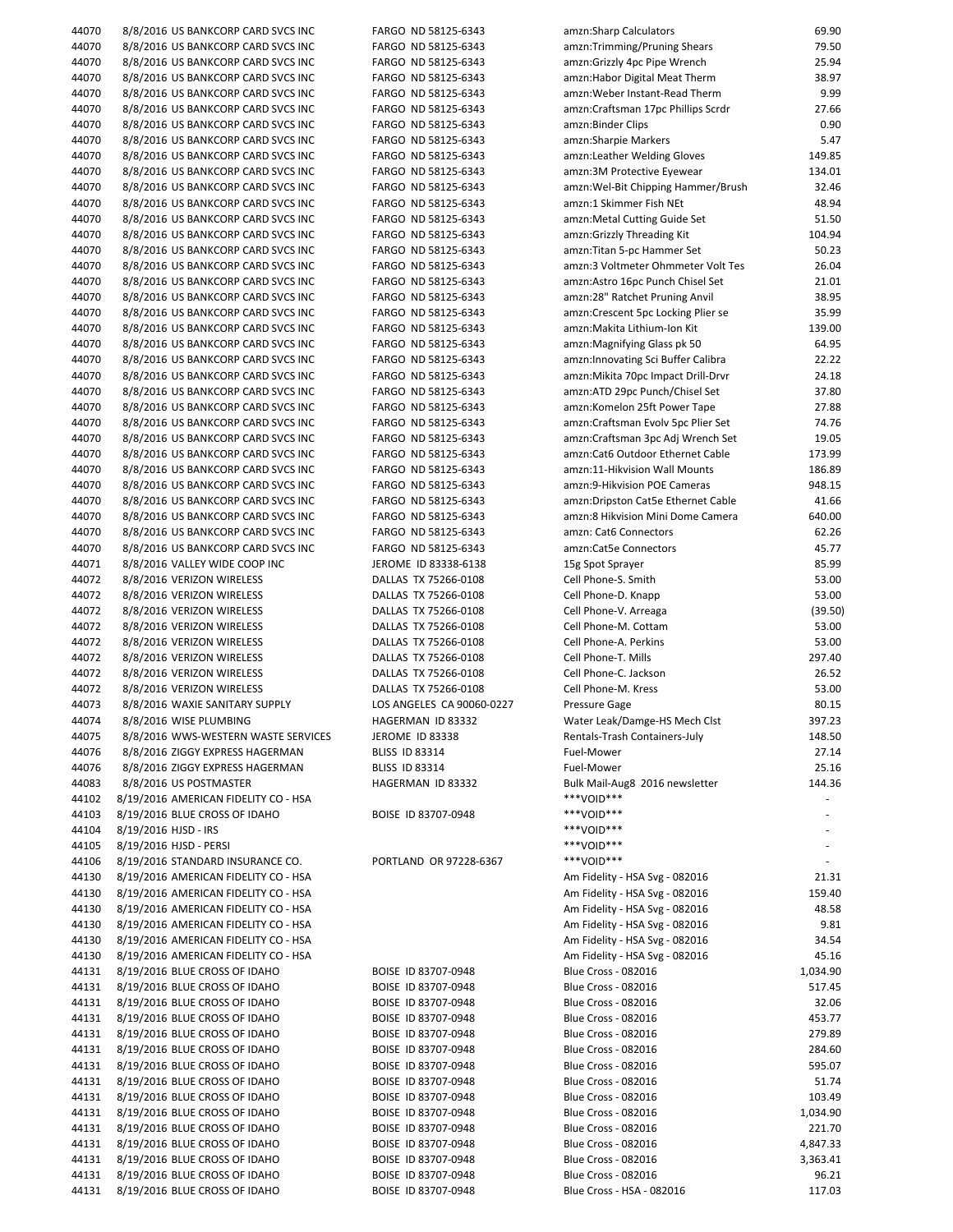| 44070 | 8/8/2016 US BANKCORP CARD SVCS INC   | FARGO ND 58125-6343       | amzn:Sharp Calculators              | 69.90                    |
|-------|--------------------------------------|---------------------------|-------------------------------------|--------------------------|
| 44070 | 8/8/2016 US BANKCORP CARD SVCS INC   | FARGO ND 58125-6343       | amzn:Trimming/Pruning Shears        | 79.50                    |
| 44070 | 8/8/2016 US BANKCORP CARD SVCS INC   | FARGO ND 58125-6343       | amzn:Grizzly 4pc Pipe Wrench        | 25.94                    |
| 44070 | 8/8/2016 US BANKCORP CARD SVCS INC   | FARGO ND 58125-6343       | amzn: Habor Digital Meat Therm      | 38.97                    |
|       |                                      |                           |                                     |                          |
| 44070 | 8/8/2016 US BANKCORP CARD SVCS INC   | FARGO ND 58125-6343       | amzn: Weber Instant-Read Therm      | 9.99                     |
| 44070 | 8/8/2016 US BANKCORP CARD SVCS INC   | FARGO ND 58125-6343       | amzn:Craftsman 17pc Phillips Scrdr  | 27.66                    |
| 44070 | 8/8/2016 US BANKCORP CARD SVCS INC   | FARGO ND 58125-6343       | amzn:Binder Clips                   | 0.90                     |
| 44070 | 8/8/2016 US BANKCORP CARD SVCS INC   | FARGO ND 58125-6343       | amzn: Sharpie Markers               | 5.47                     |
| 44070 | 8/8/2016 US BANKCORP CARD SVCS INC   | FARGO ND 58125-6343       | amzn: Leather Welding Gloves        | 149.85                   |
| 44070 | 8/8/2016 US BANKCORP CARD SVCS INC   | FARGO ND 58125-6343       | amzn:3M Protective Eyewear          | 134.01                   |
| 44070 | 8/8/2016 US BANKCORP CARD SVCS INC   | FARGO ND 58125-6343       | amzn: Wel-Bit Chipping Hammer/Brush | 32.46                    |
|       |                                      |                           |                                     |                          |
| 44070 | 8/8/2016 US BANKCORP CARD SVCS INC   | FARGO ND 58125-6343       | amzn:1 Skimmer Fish NEt             | 48.94                    |
| 44070 | 8/8/2016 US BANKCORP CARD SVCS INC   | FARGO ND 58125-6343       | amzn: Metal Cutting Guide Set       | 51.50                    |
| 44070 | 8/8/2016 US BANKCORP CARD SVCS INC   | FARGO ND 58125-6343       | amzn:Grizzly Threading Kit          | 104.94                   |
| 44070 | 8/8/2016 US BANKCORP CARD SVCS INC   | FARGO ND 58125-6343       | amzn: Titan 5-pc Hammer Set         | 50.23                    |
| 44070 | 8/8/2016 US BANKCORP CARD SVCS INC   | FARGO ND 58125-6343       | amzn:3 Voltmeter Ohmmeter Volt Tes  | 26.04                    |
| 44070 | 8/8/2016 US BANKCORP CARD SVCS INC   | FARGO ND 58125-6343       | amzn:Astro 16pc Punch Chisel Set    | 21.01                    |
| 44070 | 8/8/2016 US BANKCORP CARD SVCS INC   | FARGO ND 58125-6343       | amzn:28" Ratchet Pruning Anvil      | 38.95                    |
|       |                                      |                           |                                     |                          |
| 44070 | 8/8/2016 US BANKCORP CARD SVCS INC   | FARGO ND 58125-6343       | amzn: Crescent 5pc Locking Plier se | 35.99                    |
| 44070 | 8/8/2016 US BANKCORP CARD SVCS INC   | FARGO ND 58125-6343       | amzn:Makita Lithium-Ion Kit         | 139.00                   |
| 44070 | 8/8/2016 US BANKCORP CARD SVCS INC   | FARGO ND 58125-6343       | amzn:Magnifying Glass pk 50         | 64.95                    |
| 44070 | 8/8/2016 US BANKCORP CARD SVCS INC   | FARGO ND 58125-6343       | amzn: Innovating Sci Buffer Calibra | 22.22                    |
| 44070 | 8/8/2016 US BANKCORP CARD SVCS INC   | FARGO ND 58125-6343       | amzn: Mikita 70pc Impact Drill-Drvr | 24.18                    |
| 44070 | 8/8/2016 US BANKCORP CARD SVCS INC   | FARGO ND 58125-6343       | amzn:ATD 29pc Punch/Chisel Set      | 37.80                    |
| 44070 | 8/8/2016 US BANKCORP CARD SVCS INC   | FARGO ND 58125-6343       | amzn:Komelon 25ft Power Tape        | 27.88                    |
| 44070 | 8/8/2016 US BANKCORP CARD SVCS INC   | FARGO ND 58125-6343       | amzn:Craftsman Evolv 5pc Plier Set  | 74.76                    |
|       |                                      |                           |                                     |                          |
| 44070 | 8/8/2016 US BANKCORP CARD SVCS INC   | FARGO ND 58125-6343       | amzn:Craftsman 3pc Adj Wrench Set   | 19.05                    |
| 44070 | 8/8/2016 US BANKCORP CARD SVCS INC   | FARGO ND 58125-6343       | amzn:Cat6 Outdoor Ethernet Cable    | 173.99                   |
| 44070 | 8/8/2016 US BANKCORP CARD SVCS INC   | FARGO ND 58125-6343       | amzn:11-Hikvision Wall Mounts       | 186.89                   |
| 44070 | 8/8/2016 US BANKCORP CARD SVCS INC   | FARGO ND 58125-6343       | amzn:9-Hikvision POE Cameras        | 948.15                   |
| 44070 | 8/8/2016 US BANKCORP CARD SVCS INC   | FARGO ND 58125-6343       | amzn:Dripston Cat5e Ethernet Cable  | 41.66                    |
| 44070 | 8/8/2016 US BANKCORP CARD SVCS INC   | FARGO ND 58125-6343       | amzn:8 Hikvision Mini Dome Camera   | 640.00                   |
| 44070 | 8/8/2016 US BANKCORP CARD SVCS INC   | FARGO ND 58125-6343       | amzn: Cat6 Connectors               | 62.26                    |
|       |                                      |                           | amzn:Cat5e Connectors               |                          |
| 44070 | 8/8/2016 US BANKCORP CARD SVCS INC   | FARGO ND 58125-6343       |                                     | 45.77                    |
| 44071 | 8/8/2016 VALLEY WIDE COOP INC        | JEROME ID 83338-6138      | 15g Spot Sprayer                    | 85.99                    |
| 44072 | 8/8/2016 VERIZON WIRELESS            | DALLAS TX 75266-0108      | Cell Phone-S. Smith                 | 53.00                    |
| 44072 | 8/8/2016 VERIZON WIRELESS            | DALLAS TX 75266-0108      | Cell Phone-D. Knapp                 | 53.00                    |
| 44072 | 8/8/2016 VERIZON WIRELESS            | DALLAS TX 75266-0108      | Cell Phone-V. Arreaga               | (39.50)                  |
| 44072 | 8/8/2016 VERIZON WIRELESS            | DALLAS TX 75266-0108      | Cell Phone-M. Cottam                | 53.00                    |
| 44072 | 8/8/2016 VERIZON WIRELESS            | DALLAS TX 75266-0108      | Cell Phone-A. Perkins               | 53.00                    |
| 44072 | 8/8/2016 VERIZON WIRELESS            | DALLAS TX 75266-0108      | Cell Phone-T. Mills                 | 297.40                   |
|       |                                      |                           |                                     |                          |
| 44072 | 8/8/2016 VERIZON WIRELESS            | DALLAS TX 75266-0108      | Cell Phone-C. Jackson               | 26.52                    |
| 44072 | 8/8/2016 VERIZON WIRELESS            | DALLAS TX 75266-0108      | Cell Phone-M. Kress                 | 53.00                    |
| 44073 | 8/8/2016 WAXIE SANITARY SUPPLY       | LOS ANGELES CA 90060-0227 | Pressure Gage                       | 80.15                    |
| 44074 | 8/8/2016 WISE PLUMBING               | HAGERMAN ID 83332         | Water Leak/Damge-HS Mech Clst       | 397.23                   |
| 44075 | 8/8/2016 WWS-WESTERN WASTE SERVICES  | JEROME ID 83338           | Rentals-Trash Containers-July       | 148.50                   |
| 44076 | 8/8/2016 ZIGGY EXPRESS HAGERMAN      | <b>BLISS ID 83314</b>     | Fuel-Mower                          | 27.14                    |
| 44076 | 8/8/2016 ZIGGY EXPRESS HAGERMAN      | <b>BLISS ID 83314</b>     | Fuel-Mower                          | 25.16                    |
| 44083 | 8/8/2016 US POSTMASTER               | HAGERMAN ID 83332         | Bulk Mail-Aug8 2016 newsletter      | 144.36                   |
|       |                                      |                           | ***VOID***                          |                          |
| 44102 | 8/19/2016 AMERICAN FIDELITY CO - HSA |                           |                                     |                          |
| 44103 | 8/19/2016 BLUE CROSS OF IDAHO        | BOISE ID 83707-0948       | ***VOID***                          | $\overline{\phantom{a}}$ |
| 44104 | 8/19/2016 HJSD - IRS                 |                           | ***VOID***                          |                          |
| 44105 | 8/19/2016 HJSD - PERSI               |                           | ***VOID***                          |                          |
| 44106 | 8/19/2016 STANDARD INSURANCE CO.     | PORTLAND OR 97228-6367    | ***VOID***                          |                          |
| 44130 | 8/19/2016 AMERICAN FIDELITY CO - HSA |                           | Am Fidelity - HSA Svg - 082016      | 21.31                    |
| 44130 | 8/19/2016 AMERICAN FIDELITY CO - HSA |                           | Am Fidelity - HSA Svg - 082016      | 159.40                   |
| 44130 | 8/19/2016 AMERICAN FIDELITY CO - HSA |                           | Am Fidelity - HSA Svg - 082016      | 48.58                    |
|       |                                      |                           |                                     |                          |
| 44130 | 8/19/2016 AMERICAN FIDELITY CO - HSA |                           | Am Fidelity - HSA Svg - 082016      | 9.81                     |
| 44130 | 8/19/2016 AMERICAN FIDELITY CO - HSA |                           | Am Fidelity - HSA Svg - 082016      | 34.54                    |
| 44130 | 8/19/2016 AMERICAN FIDELITY CO - HSA |                           | Am Fidelity - HSA Svg - 082016      | 45.16                    |
| 44131 | 8/19/2016 BLUE CROSS OF IDAHO        | BOISE ID 83707-0948       | <b>Blue Cross - 082016</b>          | 1,034.90                 |
| 44131 | 8/19/2016 BLUE CROSS OF IDAHO        | BOISE ID 83707-0948       | <b>Blue Cross - 082016</b>          | 517.45                   |
| 44131 | 8/19/2016 BLUE CROSS OF IDAHO        | BOISE ID 83707-0948       | Blue Cross - 082016                 | 32.06                    |
| 44131 | 8/19/2016 BLUE CROSS OF IDAHO        | BOISE ID 83707-0948       | <b>Blue Cross - 082016</b>          | 453.77                   |
| 44131 | 8/19/2016 BLUE CROSS OF IDAHO        | BOISE ID 83707-0948       | Blue Cross - 082016                 | 279.89                   |
|       |                                      |                           |                                     |                          |
| 44131 | 8/19/2016 BLUE CROSS OF IDAHO        | BOISE ID 83707-0948       | <b>Blue Cross - 082016</b>          | 284.60                   |
| 44131 | 8/19/2016 BLUE CROSS OF IDAHO        | BOISE ID 83707-0948       | Blue Cross - 082016                 | 595.07                   |
| 44131 | 8/19/2016 BLUE CROSS OF IDAHO        | BOISE ID 83707-0948       | Blue Cross - 082016                 | 51.74                    |
| 44131 | 8/19/2016 BLUE CROSS OF IDAHO        | BOISE ID 83707-0948       | Blue Cross - 082016                 | 103.49                   |
| 44131 | 8/19/2016 BLUE CROSS OF IDAHO        | BOISE ID 83707-0948       | <b>Blue Cross - 082016</b>          | 1,034.90                 |
| 44131 | 8/19/2016 BLUE CROSS OF IDAHO        | BOISE ID 83707-0948       | Blue Cross - 082016                 | 221.70                   |
| 44131 | 8/19/2016 BLUE CROSS OF IDAHO        | BOISE ID 83707-0948       | <b>Blue Cross - 082016</b>          | 4,847.33                 |
| 44131 | 8/19/2016 BLUE CROSS OF IDAHO        | BOISE ID 83707-0948       | <b>Blue Cross - 082016</b>          | 3,363.41                 |
| 44131 | 8/19/2016 BLUE CROSS OF IDAHO        | BOISE ID 83707-0948       | Blue Cross - 082016                 | 96.21                    |
|       |                                      |                           |                                     |                          |
| 44131 | 8/19/2016 BLUE CROSS OF IDAHO        | BOISE ID 83707-0948       | Blue Cross - HSA - 082016           | 117.03                   |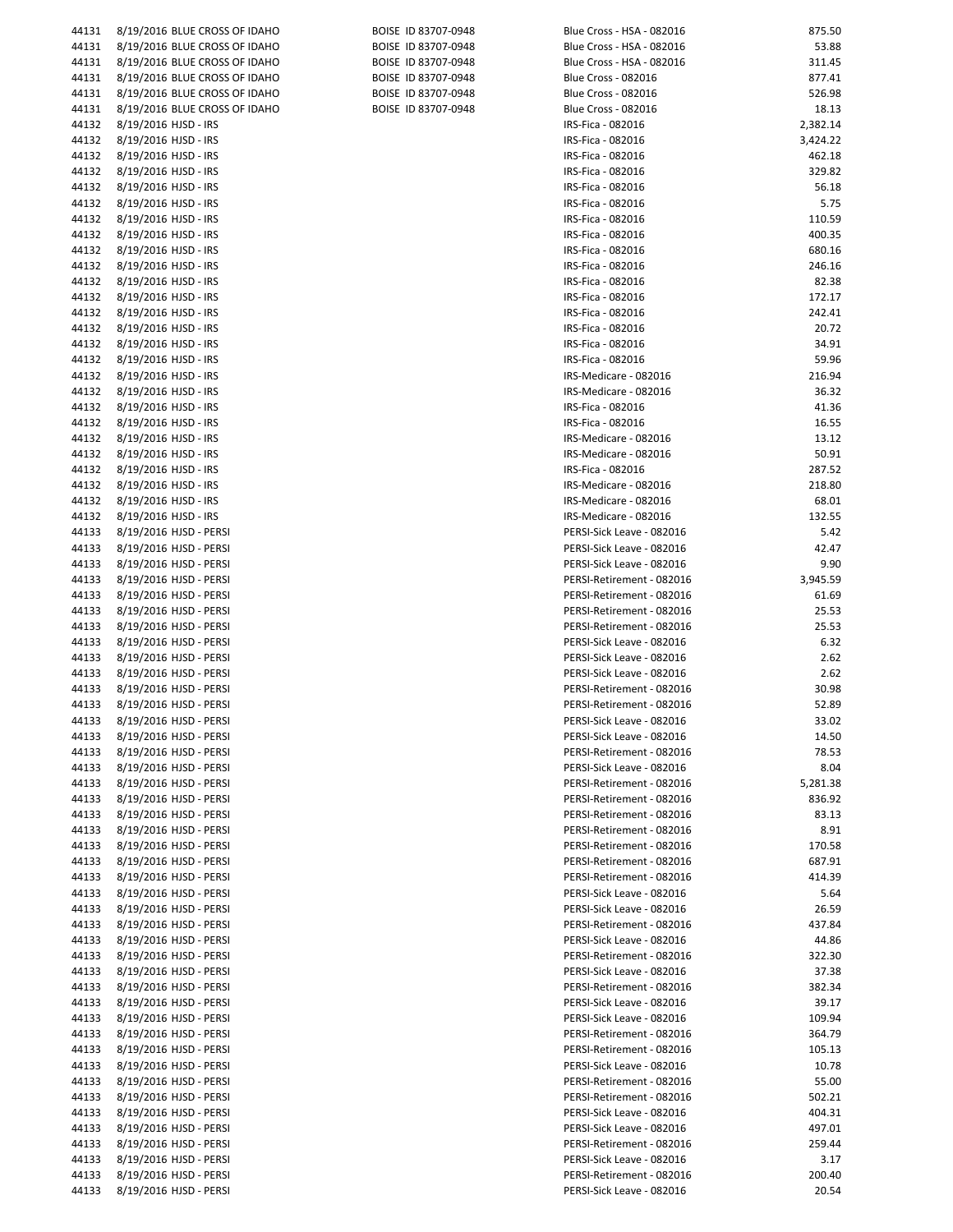| 44131 | 8/19/2016 BLUE CROSS OF IDAHO | BOISE ID 83707-0948 | Blue Cross - HSA - 082016  | 875.50   |
|-------|-------------------------------|---------------------|----------------------------|----------|
|       |                               |                     |                            |          |
| 44131 | 8/19/2016 BLUE CROSS OF IDAHO | BOISE ID 83707-0948 | Blue Cross - HSA - 082016  | 53.88    |
| 44131 | 8/19/2016 BLUE CROSS OF IDAHO | BOISE ID 83707-0948 | Blue Cross - HSA - 082016  | 311.45   |
| 44131 | 8/19/2016 BLUE CROSS OF IDAHO | BOISE ID 83707-0948 | <b>Blue Cross - 082016</b> | 877.41   |
| 44131 | 8/19/2016 BLUE CROSS OF IDAHO | BOISE ID 83707-0948 | <b>Blue Cross - 082016</b> | 526.98   |
|       |                               |                     |                            |          |
| 44131 | 8/19/2016 BLUE CROSS OF IDAHO | BOISE ID 83707-0948 | <b>Blue Cross - 082016</b> | 18.13    |
| 44132 | 8/19/2016 HJSD - IRS          |                     | IRS-Fica - 082016          | 2,382.14 |
| 44132 | 8/19/2016 HJSD - IRS          |                     | IRS-Fica - 082016          | 3,424.22 |
|       |                               |                     |                            |          |
| 44132 | 8/19/2016 HJSD - IRS          |                     | IRS-Fica - 082016          | 462.18   |
| 44132 | 8/19/2016 HJSD - IRS          |                     | IRS-Fica - 082016          | 329.82   |
| 44132 | 8/19/2016 HJSD - IRS          |                     | IRS-Fica - 082016          | 56.18    |
| 44132 | 8/19/2016 HJSD - IRS          |                     | IRS-Fica - 082016          | 5.75     |
|       |                               |                     |                            |          |
| 44132 | 8/19/2016 HJSD - IRS          |                     | IRS-Fica - 082016          | 110.59   |
| 44132 | 8/19/2016 HJSD - IRS          |                     | IRS-Fica - 082016          | 400.35   |
| 44132 | 8/19/2016 HJSD - IRS          |                     | IRS-Fica - 082016          | 680.16   |
|       |                               |                     |                            |          |
| 44132 | 8/19/2016 HJSD - IRS          |                     | IRS-Fica - 082016          | 246.16   |
| 44132 | 8/19/2016 HJSD - IRS          |                     | IRS-Fica - 082016          | 82.38    |
| 44132 | 8/19/2016 HJSD - IRS          |                     | IRS-Fica - 082016          | 172.17   |
| 44132 | 8/19/2016 HJSD - IRS          |                     | IRS-Fica - 082016          | 242.41   |
|       |                               |                     |                            |          |
| 44132 | 8/19/2016 HJSD - IRS          |                     | IRS-Fica - 082016          | 20.72    |
| 44132 | 8/19/2016 HJSD - IRS          |                     | IRS-Fica - 082016          | 34.91    |
| 44132 | 8/19/2016 HJSD - IRS          |                     | IRS-Fica - 082016          | 59.96    |
|       |                               |                     |                            |          |
| 44132 | 8/19/2016 HJSD - IRS          |                     | IRS-Medicare - 082016      | 216.94   |
| 44132 | 8/19/2016 HJSD - IRS          |                     | IRS-Medicare - 082016      | 36.32    |
| 44132 | 8/19/2016 HJSD - IRS          |                     | IRS-Fica - 082016          | 41.36    |
| 44132 | 8/19/2016 HJSD - IRS          |                     | IRS-Fica - 082016          | 16.55    |
|       |                               |                     |                            |          |
| 44132 | 8/19/2016 HJSD - IRS          |                     | IRS-Medicare - 082016      | 13.12    |
| 44132 | 8/19/2016 HJSD - IRS          |                     | IRS-Medicare - 082016      | 50.91    |
| 44132 | 8/19/2016 HJSD - IRS          |                     | IRS-Fica - 082016          | 287.52   |
|       |                               |                     |                            |          |
| 44132 | 8/19/2016 HJSD - IRS          |                     | IRS-Medicare - 082016      | 218.80   |
| 44132 | 8/19/2016 HJSD - IRS          |                     | IRS-Medicare - 082016      | 68.01    |
| 44132 | 8/19/2016 HJSD - IRS          |                     | IRS-Medicare - 082016      | 132.55   |
| 44133 | 8/19/2016 HJSD - PERSI        |                     | PERSI-Sick Leave - 082016  | 5.42     |
|       |                               |                     |                            |          |
| 44133 | 8/19/2016 HJSD - PERSI        |                     | PERSI-Sick Leave - 082016  | 42.47    |
| 44133 | 8/19/2016 HJSD - PERSI        |                     | PERSI-Sick Leave - 082016  | 9.90     |
| 44133 | 8/19/2016 HJSD - PERSI        |                     | PERSI-Retirement - 082016  | 3,945.59 |
|       |                               |                     |                            |          |
| 44133 | 8/19/2016 HJSD - PERSI        |                     | PERSI-Retirement - 082016  | 61.69    |
| 44133 | 8/19/2016 HJSD - PERSI        |                     | PERSI-Retirement - 082016  | 25.53    |
| 44133 | 8/19/2016 HJSD - PERSI        |                     | PERSI-Retirement - 082016  | 25.53    |
| 44133 | 8/19/2016 HJSD - PERSI        |                     | PERSI-Sick Leave - 082016  | 6.32     |
|       |                               |                     |                            |          |
| 44133 | 8/19/2016 HJSD - PERSI        |                     | PERSI-Sick Leave - 082016  | 2.62     |
| 44133 | 8/19/2016 HJSD - PERSI        |                     | PERSI-Sick Leave - 082016  | 2.62     |
| 44133 | 8/19/2016 HJSD - PERSI        |                     | PERSI-Retirement - 082016  | 30.98    |
|       |                               |                     | PERSI-Retirement - 082016  |          |
| 44133 | 8/19/2016 HJSD - PERSI        |                     |                            | 52.89    |
|       | 44133 8/19/2016 HJSD - PERSI  |                     | PERSI-Sick Leave - 082016  | 33.02    |
| 44133 | 8/19/2016 HJSD - PERSI        |                     | PERSI-Sick Leave - 082016  | 14.50    |
| 44133 | 8/19/2016 HJSD - PERSI        |                     | PERSI-Retirement - 082016  | 78.53    |
|       |                               |                     |                            |          |
| 44133 | 8/19/2016 HJSD - PERSI        |                     | PERSI-Sick Leave - 082016  | 8.04     |
| 44133 | 8/19/2016 HJSD - PERSI        |                     | PERSI-Retirement - 082016  | 5,281.38 |
| 44133 | 8/19/2016 HJSD - PERSI        |                     | PERSI-Retirement - 082016  | 836.92   |
|       | 8/19/2016 HJSD - PERSI        |                     |                            |          |
| 44133 |                               |                     | PERSI-Retirement - 082016  | 83.13    |
| 44133 | 8/19/2016 HJSD - PERSI        |                     | PERSI-Retirement - 082016  | 8.91     |
| 44133 | 8/19/2016 HJSD - PERSI        |                     | PERSI-Retirement - 082016  | 170.58   |
| 44133 | 8/19/2016 HJSD - PERSI        |                     | PERSI-Retirement - 082016  | 687.91   |
|       |                               |                     |                            |          |
| 44133 | 8/19/2016 HJSD - PERSI        |                     | PERSI-Retirement - 082016  | 414.39   |
| 44133 | 8/19/2016 HJSD - PERSI        |                     | PERSI-Sick Leave - 082016  | 5.64     |
| 44133 | 8/19/2016 HJSD - PERSI        |                     | PERSI-Sick Leave - 082016  | 26.59    |
| 44133 |                               |                     | PERSI-Retirement - 082016  | 437.84   |
|       | 8/19/2016 HJSD - PERSI        |                     |                            |          |
| 44133 | 8/19/2016 HJSD - PERSI        |                     | PERSI-Sick Leave - 082016  | 44.86    |
| 44133 | 8/19/2016 HJSD - PERSI        |                     | PERSI-Retirement - 082016  | 322.30   |
| 44133 | 8/19/2016 HJSD - PERSI        |                     | PERSI-Sick Leave - 082016  | 37.38    |
|       |                               |                     |                            |          |
| 44133 | 8/19/2016 HJSD - PERSI        |                     | PERSI-Retirement - 082016  | 382.34   |
| 44133 | 8/19/2016 HJSD - PERSI        |                     | PERSI-Sick Leave - 082016  | 39.17    |
| 44133 | 8/19/2016 HJSD - PERSI        |                     | PERSI-Sick Leave - 082016  | 109.94   |
| 44133 | 8/19/2016 HJSD - PERSI        |                     | PERSI-Retirement - 082016  | 364.79   |
|       |                               |                     |                            |          |
| 44133 | 8/19/2016 HJSD - PERSI        |                     | PERSI-Retirement - 082016  | 105.13   |
| 44133 | 8/19/2016 HJSD - PERSI        |                     | PERSI-Sick Leave - 082016  | 10.78    |
| 44133 | 8/19/2016 HJSD - PERSI        |                     | PERSI-Retirement - 082016  | 55.00    |
|       |                               |                     | PERSI-Retirement - 082016  | 502.21   |
|       |                               |                     |                            |          |
| 44133 | 8/19/2016 HJSD - PERSI        |                     |                            |          |
| 44133 | 8/19/2016 HJSD - PERSI        |                     | PERSI-Sick Leave - 082016  | 404.31   |
| 44133 | 8/19/2016 HJSD - PERSI        |                     | PERSI-Sick Leave - 082016  | 497.01   |
|       |                               |                     |                            |          |
| 44133 | 8/19/2016 HJSD - PERSI        |                     | PERSI-Retirement - 082016  | 259.44   |
| 44133 | 8/19/2016 HJSD - PERSI        |                     | PERSI-Sick Leave - 082016  | 3.17     |
| 44133 | 8/19/2016 HJSD - PERSI        |                     | PERSI-Retirement - 082016  | 200.40   |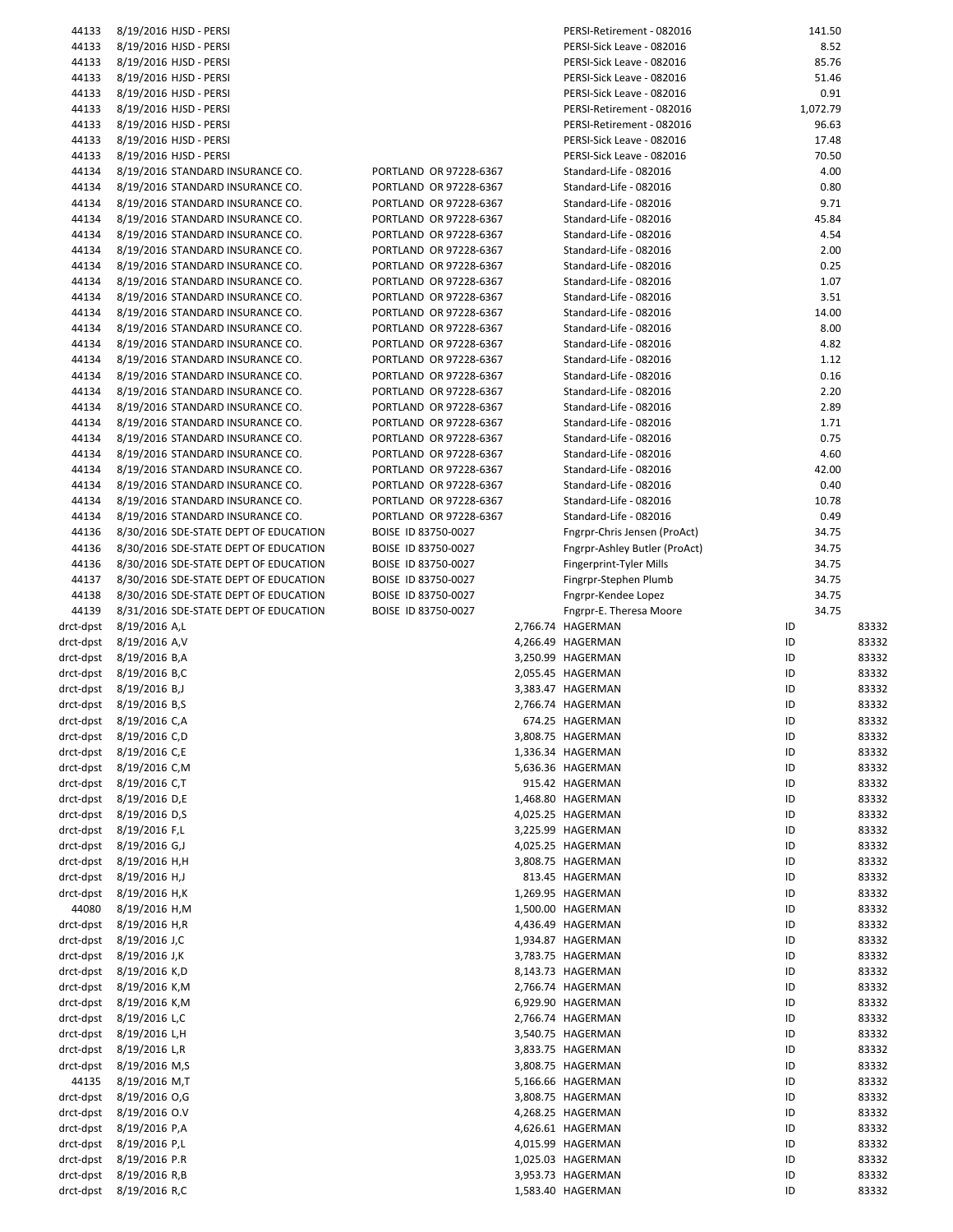| 44133                  | 8/19/2016 HJSD - PERSI                |                        | PERSI-Retirement - 082016     | 141.50   |       |
|------------------------|---------------------------------------|------------------------|-------------------------------|----------|-------|
| 44133                  | 8/19/2016 HJSD - PERSI                |                        | PERSI-Sick Leave - 082016     | 8.52     |       |
| 44133                  | 8/19/2016 HJSD - PERSI                |                        | PERSI-Sick Leave - 082016     | 85.76    |       |
| 44133                  | 8/19/2016 HJSD - PERSI                |                        | PERSI-Sick Leave - 082016     | 51.46    |       |
| 44133                  | 8/19/2016 HJSD - PERSI                |                        | PERSI-Sick Leave - 082016     | 0.91     |       |
| 44133                  | 8/19/2016 HJSD - PERSI                |                        | PERSI-Retirement - 082016     | 1,072.79 |       |
| 44133                  | 8/19/2016 HJSD - PERSI                |                        | PERSI-Retirement - 082016     | 96.63    |       |
| 44133                  |                                       |                        | PERSI-Sick Leave - 082016     | 17.48    |       |
|                        | 8/19/2016 HJSD - PERSI                |                        |                               |          |       |
| 44133                  | 8/19/2016 HJSD - PERSI                |                        | PERSI-Sick Leave - 082016     | 70.50    |       |
| 44134                  | 8/19/2016 STANDARD INSURANCE CO.      | PORTLAND OR 97228-6367 | Standard-Life - 082016        | 4.00     |       |
| 44134                  | 8/19/2016 STANDARD INSURANCE CO.      | PORTLAND OR 97228-6367 | Standard-Life - 082016        | 0.80     |       |
| 44134                  | 8/19/2016 STANDARD INSURANCE CO.      | PORTLAND OR 97228-6367 | Standard-Life - 082016        | 9.71     |       |
| 44134                  | 8/19/2016 STANDARD INSURANCE CO.      | PORTLAND OR 97228-6367 | Standard-Life - 082016        | 45.84    |       |
| 44134                  | 8/19/2016 STANDARD INSURANCE CO.      | PORTLAND OR 97228-6367 | Standard-Life - 082016        | 4.54     |       |
| 44134                  | 8/19/2016 STANDARD INSURANCE CO.      | PORTLAND OR 97228-6367 | Standard-Life - 082016        | 2.00     |       |
| 44134                  | 8/19/2016 STANDARD INSURANCE CO.      | PORTLAND OR 97228-6367 | Standard-Life - 082016        | 0.25     |       |
| 44134                  |                                       |                        |                               | 1.07     |       |
|                        | 8/19/2016 STANDARD INSURANCE CO.      | PORTLAND OR 97228-6367 | Standard-Life - 082016        |          |       |
| 44134                  | 8/19/2016 STANDARD INSURANCE CO.      | PORTLAND OR 97228-6367 | Standard-Life - 082016        | 3.51     |       |
| 44134                  | 8/19/2016 STANDARD INSURANCE CO.      | PORTLAND OR 97228-6367 | Standard-Life - 082016        | 14.00    |       |
| 44134                  | 8/19/2016 STANDARD INSURANCE CO.      | PORTLAND OR 97228-6367 | Standard-Life - 082016        | 8.00     |       |
| 44134                  | 8/19/2016 STANDARD INSURANCE CO.      | PORTLAND OR 97228-6367 | Standard-Life - 082016        | 4.82     |       |
| 44134                  | 8/19/2016 STANDARD INSURANCE CO.      | PORTLAND OR 97228-6367 | Standard-Life - 082016        | 1.12     |       |
| 44134                  | 8/19/2016 STANDARD INSURANCE CO.      | PORTLAND OR 97228-6367 | Standard-Life - 082016        | 0.16     |       |
| 44134                  | 8/19/2016 STANDARD INSURANCE CO.      | PORTLAND OR 97228-6367 | Standard-Life - 082016        | 2.20     |       |
| 44134                  | 8/19/2016 STANDARD INSURANCE CO.      | PORTLAND OR 97228-6367 | Standard-Life - 082016        | 2.89     |       |
| 44134                  | 8/19/2016 STANDARD INSURANCE CO.      | PORTLAND OR 97228-6367 | Standard-Life - 082016        | 1.71     |       |
|                        |                                       |                        | Standard-Life - 082016        | 0.75     |       |
| 44134                  | 8/19/2016 STANDARD INSURANCE CO.      | PORTLAND OR 97228-6367 |                               |          |       |
| 44134                  | 8/19/2016 STANDARD INSURANCE CO.      | PORTLAND OR 97228-6367 | Standard-Life - 082016        | 4.60     |       |
| 44134                  | 8/19/2016 STANDARD INSURANCE CO.      | PORTLAND OR 97228-6367 | Standard-Life - 082016        | 42.00    |       |
| 44134                  | 8/19/2016 STANDARD INSURANCE CO.      | PORTLAND OR 97228-6367 | Standard-Life - 082016        | 0.40     |       |
| 44134                  | 8/19/2016 STANDARD INSURANCE CO.      | PORTLAND OR 97228-6367 | Standard-Life - 082016        | 10.78    |       |
| 44134                  | 8/19/2016 STANDARD INSURANCE CO.      | PORTLAND OR 97228-6367 | Standard-Life - 082016        | 0.49     |       |
| 44136                  | 8/30/2016 SDE-STATE DEPT OF EDUCATION | BOISE ID 83750-0027    | Fngrpr-Chris Jensen (ProAct)  | 34.75    |       |
| 44136                  | 8/30/2016 SDE-STATE DEPT OF EDUCATION | BOISE ID 83750-0027    | Fngrpr-Ashley Butler (ProAct) | 34.75    |       |
| 44136                  | 8/30/2016 SDE-STATE DEPT OF EDUCATION | BOISE ID 83750-0027    | Fingerprint-Tyler Mills       | 34.75    |       |
| 44137                  | 8/30/2016 SDE-STATE DEPT OF EDUCATION | BOISE ID 83750-0027    | Fingrpr-Stephen Plumb         | 34.75    |       |
| 44138                  |                                       |                        |                               | 34.75    |       |
|                        | 8/30/2016 SDE-STATE DEPT OF EDUCATION | BOISE ID 83750-0027    | Fngrpr-Kendee Lopez           |          |       |
| 44139                  | 8/31/2016 SDE-STATE DEPT OF EDUCATION | BOISE ID 83750-0027    | Fngrpr-E. Theresa Moore       | 34.75    |       |
| drct-dpst              | 8/19/2016 A,L                         |                        | 2,766.74 HAGERMAN             | ID       | 83332 |
| drct-dpst              | 8/19/2016 A,V                         |                        | 4,266.49 HAGERMAN             | ID       | 83332 |
| drct-dpst              | 8/19/2016 B,A                         |                        | 3,250.99 HAGERMAN             | ID       | 83332 |
|                        | drct-dpst 8/19/2016 B,C               |                        | 2,055.45 HAGERMAN             | ID       | 83332 |
| drct-dpst              | 8/19/2016 B,J                         |                        | 3,383.47 HAGERMAN             | ID       | 83332 |
|                        | drct-dpst 8/19/2016 B,S               |                        | 2,766.74 HAGERMAN             | ID       | 83332 |
|                        | drct-dpst 8/19/2016 C,A               |                        | 674.25 HAGERMAN               | ID       | 83332 |
| drct-dpst              | 8/19/2016 C,D                         |                        | 3,808.75 HAGERMAN             | ID       | 83332 |
|                        |                                       |                        |                               |          |       |
| drct-dpst              | 8/19/2016 C,E                         |                        | 1,336.34 HAGERMAN             | ID       | 83332 |
| drct-dpst              | 8/19/2016 C,M                         |                        | 5,636.36 HAGERMAN             | ID       | 83332 |
| drct-dpst              | 8/19/2016 C,T                         |                        | 915.42 HAGERMAN               | ID       | 83332 |
| drct-dpst              | 8/19/2016 D,E                         |                        | 1,468.80 HAGERMAN             | ID       | 83332 |
| drct-dpst              | 8/19/2016 D,S                         |                        | 4,025.25 HAGERMAN             | ID       | 83332 |
| drct-dpst              | 8/19/2016 F,L                         |                        | 3,225.99 HAGERMAN             | ID       | 83332 |
| drct-dpst              | 8/19/2016 G,J                         |                        | 4,025.25 HAGERMAN             | ID       | 83332 |
| drct-dpst              | 8/19/2016 H,H                         |                        | 3,808.75 HAGERMAN             | ID       | 83332 |
| drct-dpst              | 8/19/2016 H,J                         |                        | 813.45 HAGERMAN               | ID       | 83332 |
| drct-dpst              | 8/19/2016 H,K                         |                        | 1,269.95 HAGERMAN             | ID       | 83332 |
|                        |                                       |                        |                               |          |       |
| 44080                  | 8/19/2016 H,M                         |                        | 1,500.00 HAGERMAN             | ID       | 83332 |
| drct-dpst              | 8/19/2016 H,R                         |                        | 4,436.49 HAGERMAN             | ID       | 83332 |
| drct-dpst              | 8/19/2016 J,C                         |                        | 1,934.87 HAGERMAN             | ID       | 83332 |
| drct-dpst              | 8/19/2016 J,K                         |                        | 3,783.75 HAGERMAN             | ID       | 83332 |
| drct-dpst              | 8/19/2016 K,D                         |                        | 8,143.73 HAGERMAN             | ID       | 83332 |
| drct-dpst              | 8/19/2016 K,M                         |                        | 2,766.74 HAGERMAN             | ID       | 83332 |
| drct-dpst              | 8/19/2016 K,M                         |                        | 6,929.90 HAGERMAN             | ID       | 83332 |
| drct-dpst              | 8/19/2016 L,C                         |                        | 2,766.74 HAGERMAN             | ID       | 83332 |
| drct-dpst              | 8/19/2016 L,H                         |                        | 3,540.75 HAGERMAN             | ID       | 83332 |
| drct-dpst              | 8/19/2016 L,R                         |                        | 3,833.75 HAGERMAN             | ID       | 83332 |
|                        |                                       |                        |                               |          |       |
| drct-dpst              | 8/19/2016 M,S                         |                        | 3,808.75 HAGERMAN             | ID       | 83332 |
| 44135                  | 8/19/2016 M,T                         |                        | 5,166.66 HAGERMAN             | ID       | 83332 |
| drct-dpst              |                                       |                        | 3,808.75 HAGERMAN             | ID       | 83332 |
| drct-dpst              | 8/19/2016 O,G                         |                        |                               |          |       |
|                        | 8/19/2016 O.V                         |                        | 4,268.25 HAGERMAN             | ID       | 83332 |
| drct-dpst              | 8/19/2016 P,A                         |                        | 4,626.61 HAGERMAN             | ID       | 83332 |
| drct-dpst              | 8/19/2016 P,L                         |                        | 4,015.99 HAGERMAN             | ID       | 83332 |
| drct-dpst              | 8/19/2016 P.R                         |                        | 1,025.03 HAGERMAN             | ID       | 83332 |
|                        | 8/19/2016 R,B                         |                        | 3,953.73 HAGERMAN             | ID       | 83332 |
| drct-dpst<br>drct-dpst | 8/19/2016 R,C                         |                        | 1,583.40 HAGERMAN             | ID       | 83332 |